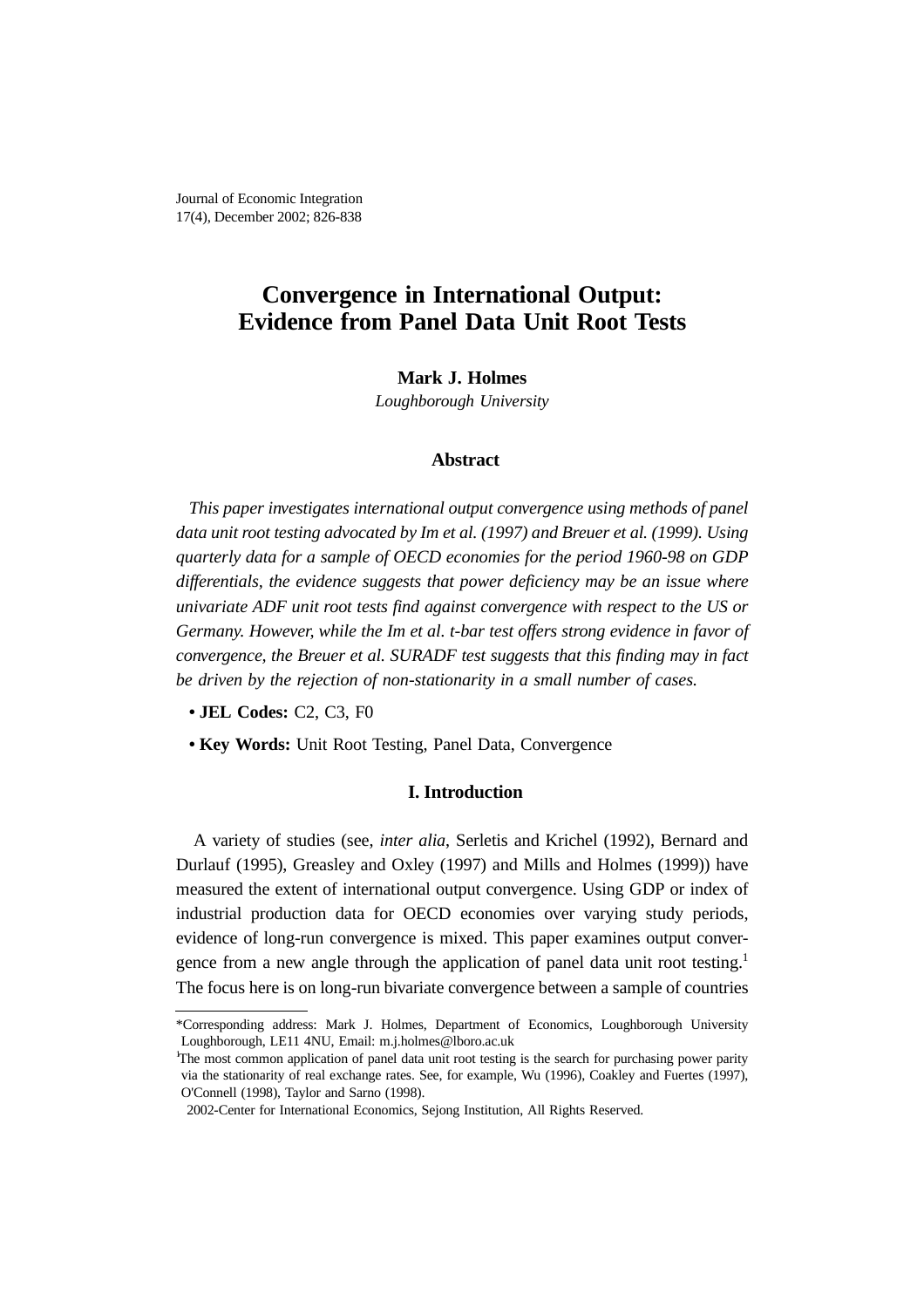Journal of Economic Integration 17(4), December 2002; 826-838

# **Convergence in International Output: Evidence from Panel Data Unit Root Tests**

# **Mark J. Holmes**

*Loughborough University*

# **Abstract**

*This paper investigates international output convergence using methods of panel data unit root testing advocated by Im et al. (1997) and Breuer et al. (1999). Using quarterly data for a sample of OECD economies for the period 1960-98 on GDP differentials, the evidence suggests that power deficiency may be an issue where univariate ADF unit root tests find against convergence with respect to the US or Germany. However, while the Im et al. t-bar test offers strong evidence in favor of convergence, the Breuer et al. SURADF test suggests that this finding may in fact be driven by the rejection of non-stationarity in a small number of cases.*

- **JEL Codes:** C2, C3, F0
- **Key Words:** Unit Root Testing, Panel Data, Convergence

# **I. Introduction**

A variety of studies (see, *inter alia*, Serletis and Krichel (1992), Bernard and Durlauf (1995), Greasley and Oxley (1997) and Mills and Holmes (1999)) have measured the extent of international output convergence. Using GDP or index of industrial production data for OECD economies over varying study periods, evidence of long-run convergence is mixed. This paper examines output convergence from a new angle through the application of panel data unit root testing.<sup>1</sup> The focus here is on long-run bivariate convergence between a sample of countries

<sup>\*</sup>Corresponding address: Mark J. Holmes, Department of Economics, Loughborough University Loughborough, LE11 4NU, Email: m.j.holmes@lboro.ac.uk

The most common application of panel data unit root testing is the search for purchasing power parity via the stationarity of real exchange rates. See, for example, Wu (1996), Coakley and Fuertes (1997), O'Connell (1998), Taylor and Sarno (1998).

<sup>2002-</sup>Center for International Economics, Sejong Institution, All Rights Reserved.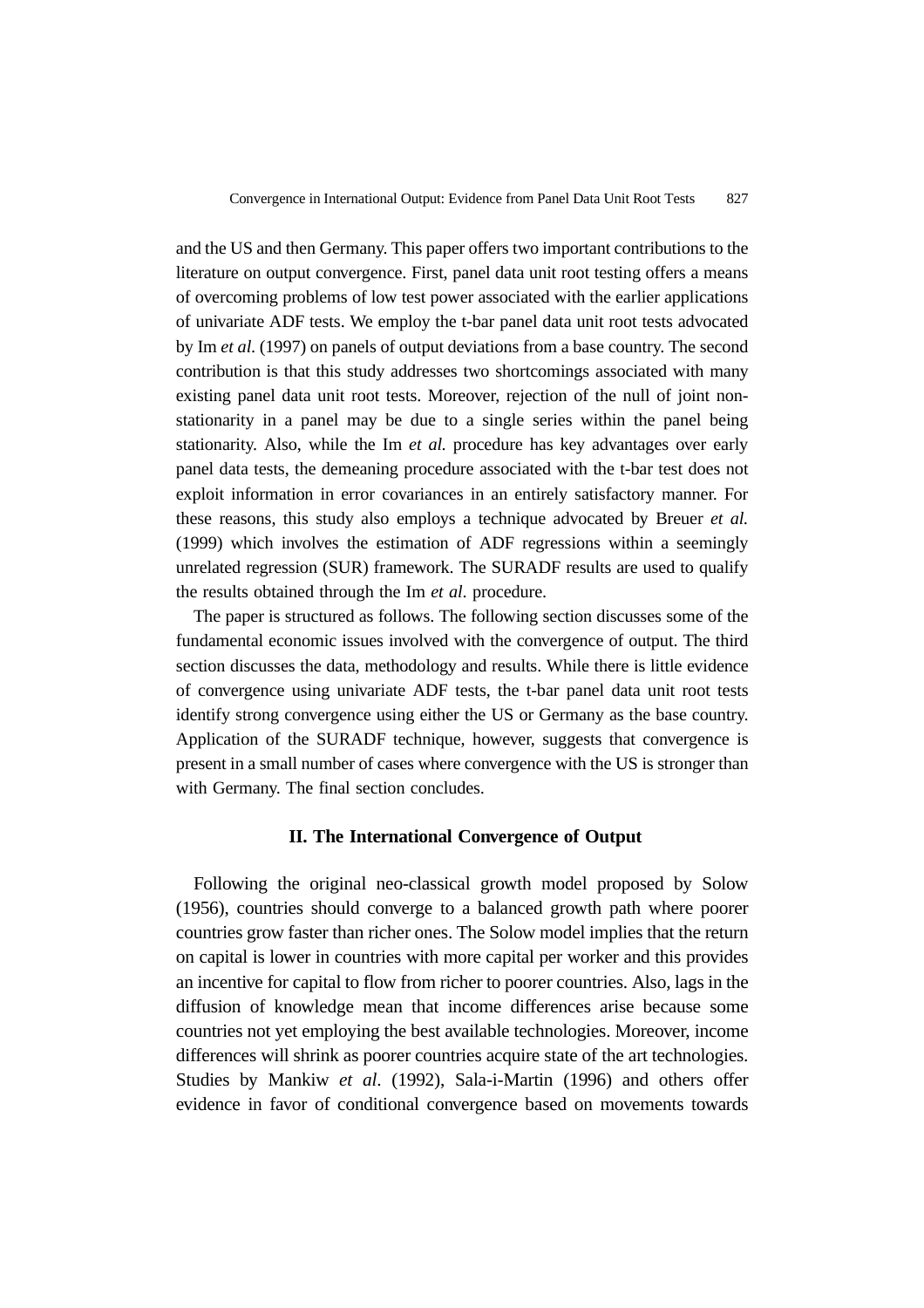and the US and then Germany. This paper offers two important contributions to the literature on output convergence. First, panel data unit root testing offers a means of overcoming problems of low test power associated with the earlier applications of univariate ADF tests. We employ the t-bar panel data unit root tests advocated by Im *et al*. (1997) on panels of output deviations from a base country. The second contribution is that this study addresses two shortcomings associated with many existing panel data unit root tests. Moreover, rejection of the null of joint nonstationarity in a panel may be due to a single series within the panel being stationarity. Also, while the Im *et al.* procedure has key advantages over early panel data tests, the demeaning procedure associated with the t-bar test does not exploit information in error covariances in an entirely satisfactory manner. For these reasons, this study also employs a technique advocated by Breuer *et al.* (1999) which involves the estimation of ADF regressions within a seemingly unrelated regression (SUR) framework. The SURADF results are used to qualify the results obtained through the Im *et al*. procedure.

The paper is structured as follows. The following section discusses some of the fundamental economic issues involved with the convergence of output. The third section discusses the data, methodology and results. While there is little evidence of convergence using univariate ADF tests, the t-bar panel data unit root tests identify strong convergence using either the US or Germany as the base country. Application of the SURADF technique, however, suggests that convergence is present in a small number of cases where convergence with the US is stronger than with Germany. The final section concludes.

### **II. The International Convergence of Output**

Following the original neo-classical growth model proposed by Solow (1956), countries should converge to a balanced growth path where poorer countries grow faster than richer ones. The Solow model implies that the return on capital is lower in countries with more capital per worker and this provides an incentive for capital to flow from richer to poorer countries. Also, lags in the diffusion of knowledge mean that income differences arise because some countries not yet employing the best available technologies. Moreover, income differences will shrink as poorer countries acquire state of the art technologies. Studies by Mankiw *et al*. (1992), Sala-i-Martin (1996) and others offer evidence in favor of conditional convergence based on movements towards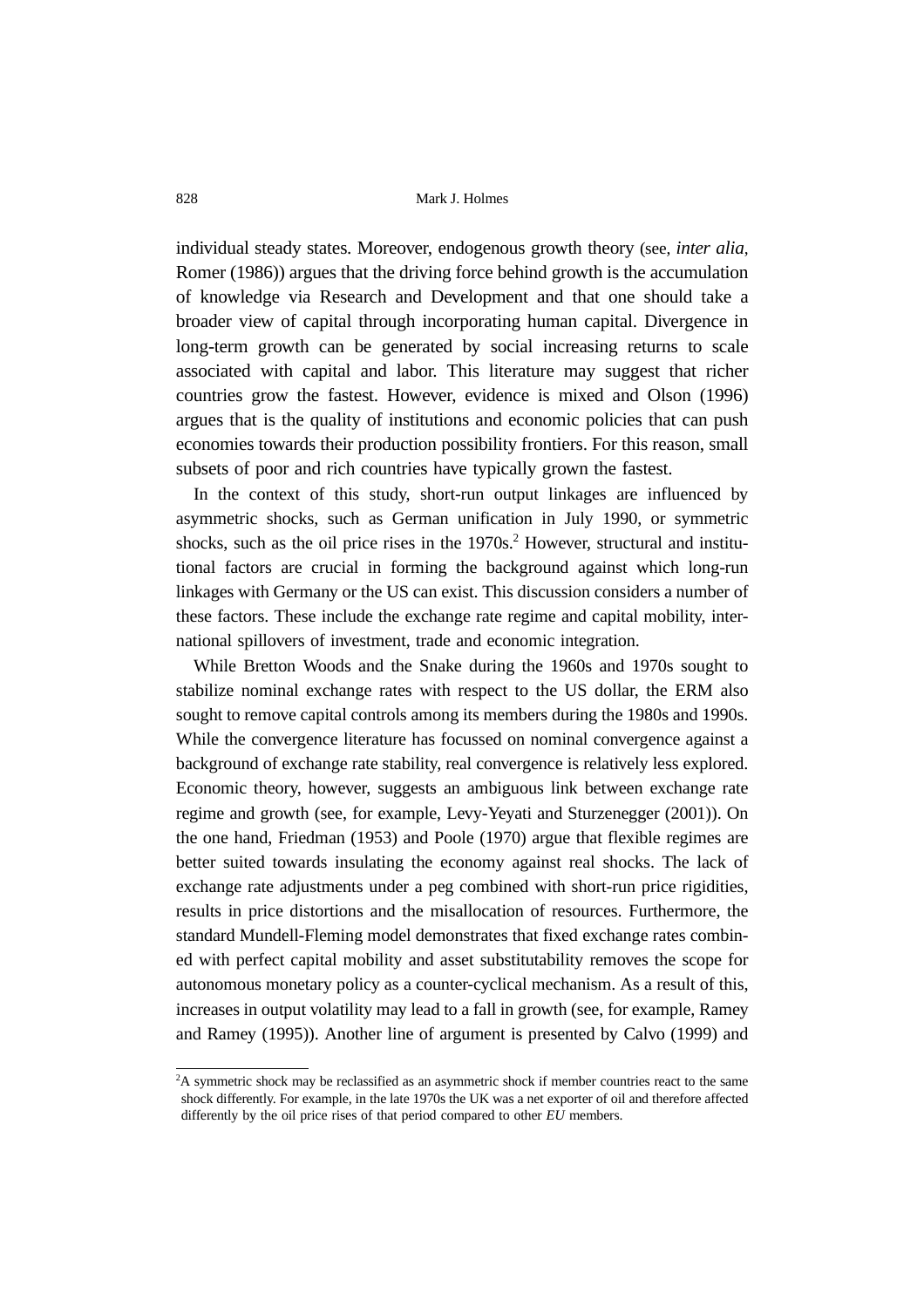individual steady states. Moreover, endogenous growth theory (see, *inter alia*, Romer (1986)) argues that the driving force behind growth is the accumulation of knowledge via Research and Development and that one should take a broader view of capital through incorporating human capital. Divergence in long-term growth can be generated by social increasing returns to scale associated with capital and labor. This literature may suggest that richer countries grow the fastest. However, evidence is mixed and Olson (1996) argues that is the quality of institutions and economic policies that can push economies towards their production possibility frontiers. For this reason, small subsets of poor and rich countries have typically grown the fastest.

In the context of this study, short-run output linkages are influenced by asymmetric shocks, such as German unification in July 1990, or symmetric shocks, such as the oil price rises in the  $1970s$ <sup>2</sup> However, structural and institutional factors are crucial in forming the background against which long-run linkages with Germany or the US can exist. This discussion considers a number of these factors. These include the exchange rate regime and capital mobility, international spillovers of investment, trade and economic integration.

While Bretton Woods and the Snake during the 1960s and 1970s sought to stabilize nominal exchange rates with respect to the US dollar, the ERM also sought to remove capital controls among its members during the 1980s and 1990s. While the convergence literature has focussed on nominal convergence against a background of exchange rate stability, real convergence is relatively less explored. Economic theory, however, suggests an ambiguous link between exchange rate regime and growth (see, for example, Levy-Yeyati and Sturzenegger (2001)). On the one hand, Friedman (1953) and Poole (1970) argue that flexible regimes are better suited towards insulating the economy against real shocks. The lack of exchange rate adjustments under a peg combined with short-run price rigidities, results in price distortions and the misallocation of resources. Furthermore, the standard Mundell-Fleming model demonstrates that fixed exchange rates combined with perfect capital mobility and asset substitutability removes the scope for autonomous monetary policy as a counter-cyclical mechanism. As a result of this, increases in output volatility may lead to a fall in growth (see, for example, Ramey and Ramey (1995)). Another line of argument is presented by Calvo (1999) and

<sup>&</sup>lt;sup>2</sup>A symmetric shock may be reclassified as an asymmetric shock if member countries react to the same shock differently. For example, in the late 1970s the UK was a net exporter of oil and therefore affected differently by the oil price rises of that period compared to other *EU* members.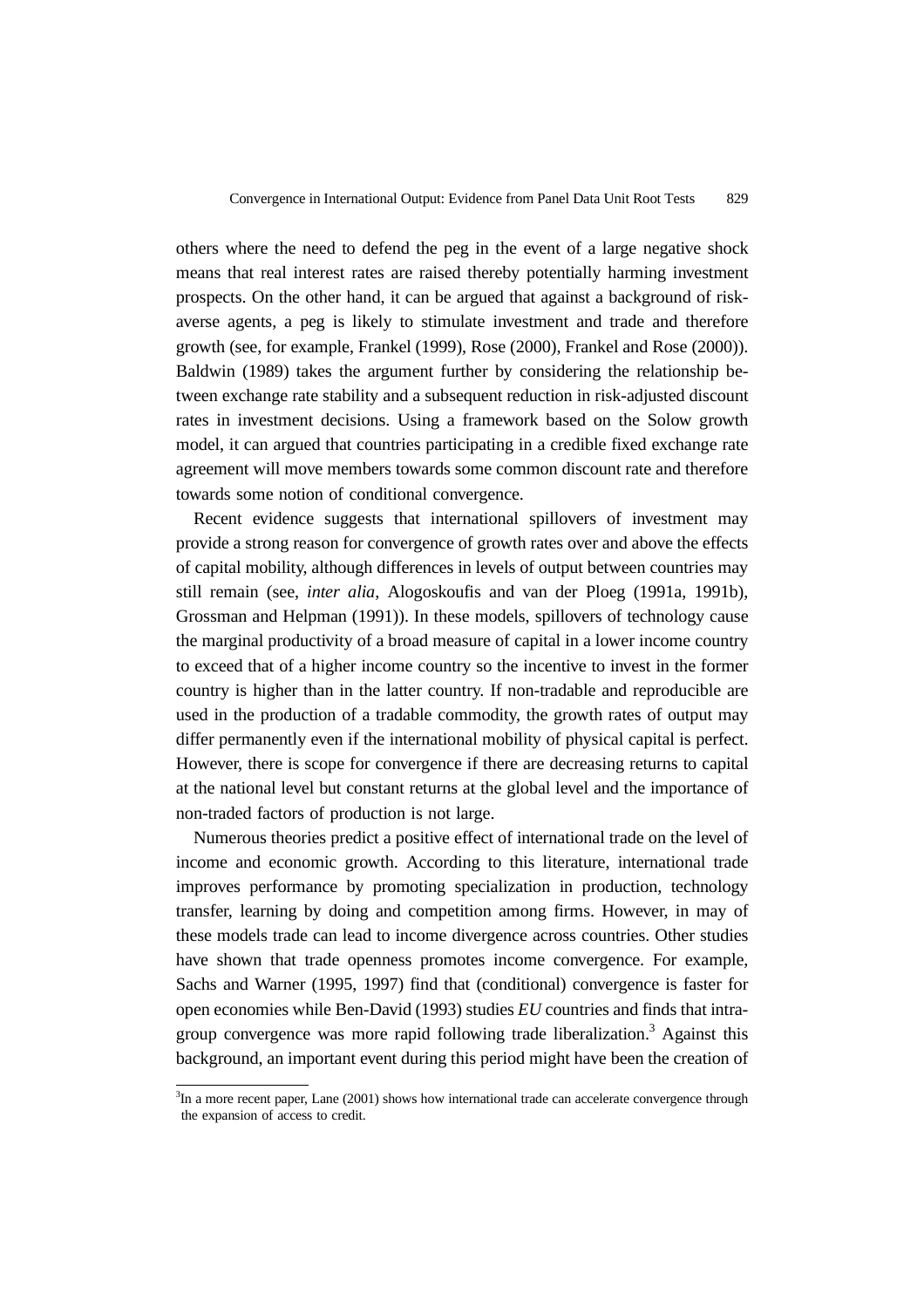others where the need to defend the peg in the event of a large negative shock means that real interest rates are raised thereby potentially harming investment prospects. On the other hand, it can be argued that against a background of riskaverse agents, a peg is likely to stimulate investment and trade and therefore growth (see, for example, Frankel (1999), Rose (2000), Frankel and Rose (2000)). Baldwin (1989) takes the argument further by considering the relationship between exchange rate stability and a subsequent reduction in risk-adjusted discount rates in investment decisions. Using a framework based on the Solow growth model, it can argued that countries participating in a credible fixed exchange rate agreement will move members towards some common discount rate and therefore towards some notion of conditional convergence.

Recent evidence suggests that international spillovers of investment may provide a strong reason for convergence of growth rates over and above the effects of capital mobility, although differences in levels of output between countries may still remain (see, *inter alia*, Alogoskoufis and van der Ploeg (1991a, 1991b), Grossman and Helpman (1991)). In these models, spillovers of technology cause the marginal productivity of a broad measure of capital in a lower income country to exceed that of a higher income country so the incentive to invest in the former country is higher than in the latter country. If non-tradable and reproducible are used in the production of a tradable commodity, the growth rates of output may differ permanently even if the international mobility of physical capital is perfect. However, there is scope for convergence if there are decreasing returns to capital at the national level but constant returns at the global level and the importance of non-traded factors of production is not large.

Numerous theories predict a positive effect of international trade on the level of income and economic growth. According to this literature, international trade improves performance by promoting specialization in production, technology transfer, learning by doing and competition among firms. However, in may of these models trade can lead to income divergence across countries. Other studies have shown that trade openness promotes income convergence. For example, Sachs and Warner (1995, 1997) find that (conditional) convergence is faster for open economies while Ben-David (1993) studies *EU* countries and finds that intragroup convergence was more rapid following trade liberalization.<sup>3</sup> Against this background, an important event during this period might have been the creation of

<sup>&</sup>lt;sup>3</sup>In a more recent paper, Lane (2001) shows how international trade can accelerate convergence through the expansion of access to credit.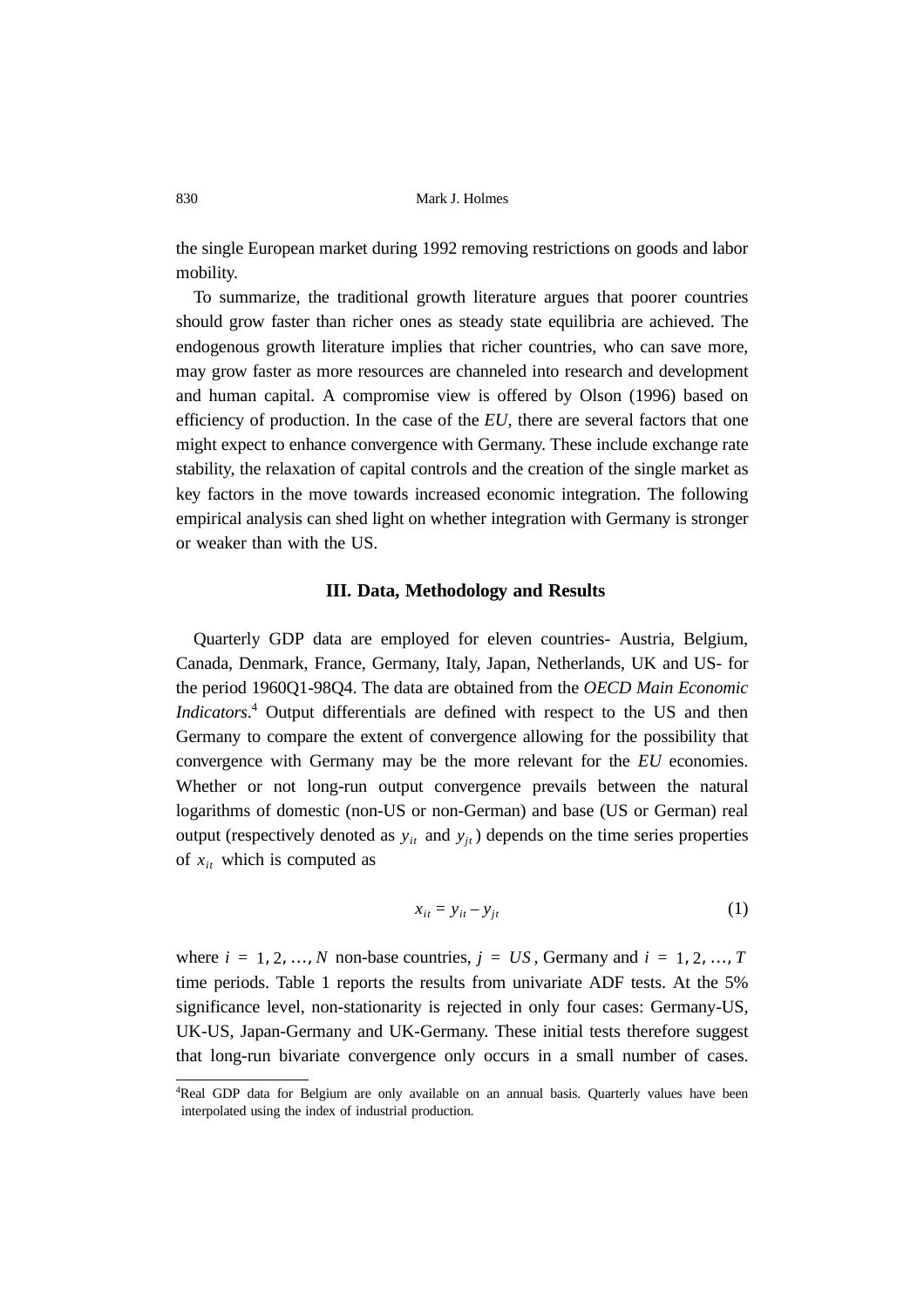the single European market during 1992 removing restrictions on goods and labor mobility.

To summarize, the traditional growth literature argues that poorer countries should grow faster than richer ones as steady state equilibria are achieved. The endogenous growth literature implies that richer countries, who can save more, may grow faster as more resources are channeled into research and development and human capital. A compromise view is offered by Olson (1996) based on efficiency of production. In the case of the *EU*, there are several factors that one might expect to enhance convergence with Germany. These include exchange rate stability, the relaxation of capital controls and the creation of the single market as key factors in the move towards increased economic integration. The following empirical analysis can shed light on whether integration with Germany is stronger or weaker than with the US.

#### **III. Data, Methodology and Results**

Quarterly GDP data are employed for eleven countries- Austria, Belgium, Canada, Denmark, France, Germany, Italy, Japan, Netherlands, UK and US- for the period 1960Q1-98Q4. The data are obtained from the *OECD Main Economic Indicators*. 4 Output differentials are defined with respect to the US and then Germany to compare the extent of convergence allowing for the possibility that convergence with Germany may be the more relevant for the *EU* economies. Whether or not long-run output convergence prevails between the natural logarithms of domestic (non-US or non-German) and base (US or German) real output (respectively denoted as  $y_{it}$  and  $y_{jt}$ ) depends on the time series properties of  $x_{it}$  which is computed as

$$
x_{it} = y_{it} - y_{jt} \tag{1}
$$

where  $i = 1, 2, ..., N$  non-base countries,  $j = US$ , Germany and  $i = 1, 2, ..., T$ time periods. Table 1 reports the results from univariate ADF tests. At the 5% significance level, non-stationarity is rejected in only four cases: Germany-US, UK-US, Japan-Germany and UK-Germany. These initial tests therefore suggest that long-run bivariate convergence only occurs in a small number of cases.

<sup>4</sup> Real GDP data for Belgium are only available on an annual basis. Quarterly values have been interpolated using the index of industrial production.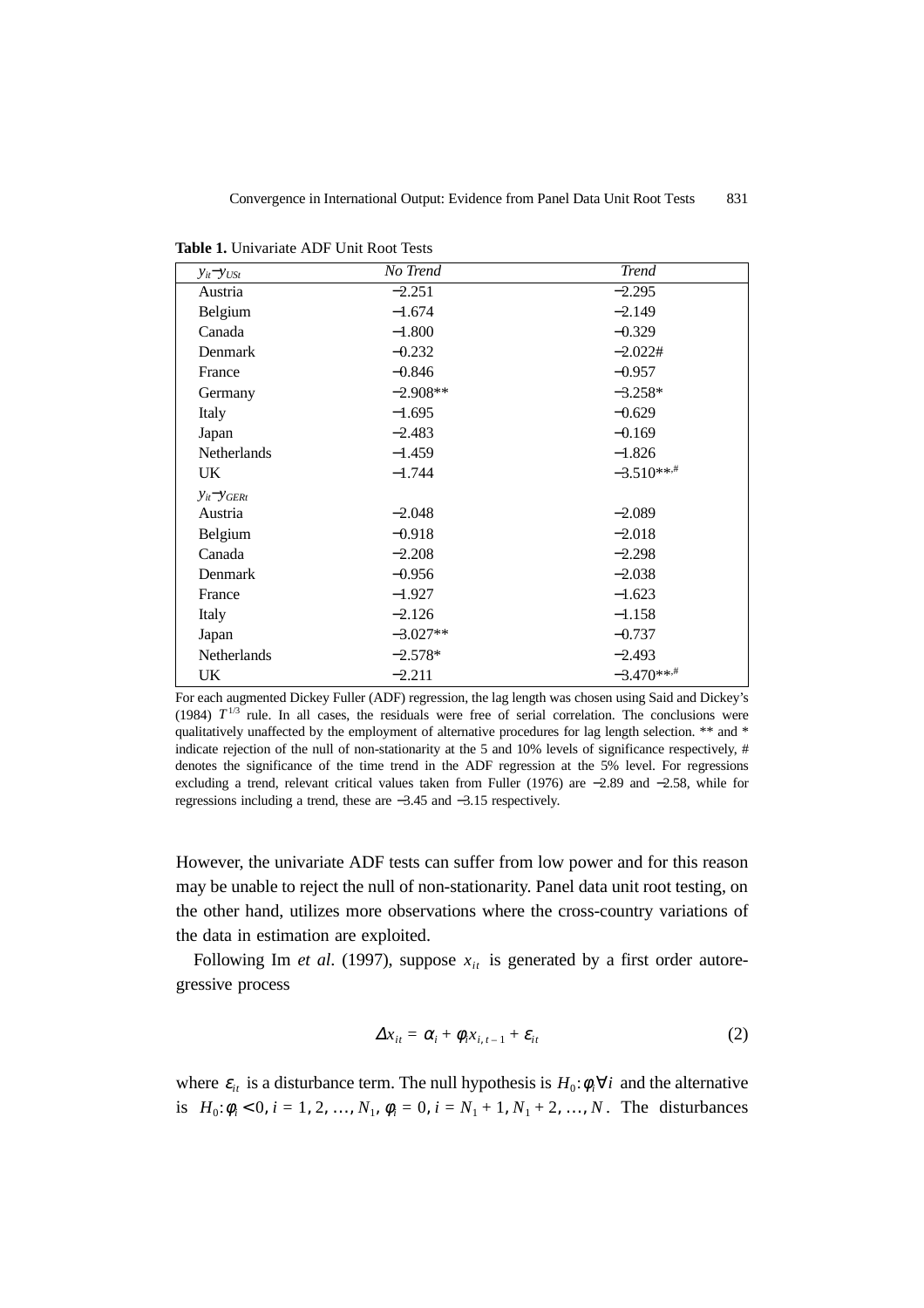| $y_{it} - y_{USt}$    | No Trend   | <b>Trend</b> |
|-----------------------|------------|--------------|
| Austria               | $-2.251$   | $-2.295$     |
| Belgium               | $-1.674$   | $-2.149$     |
| Canada                | $-1.800$   | $-0.329$     |
| Denmark               | $-0.232$   | $-2.022#$    |
| France                | $-0.846$   | $-0.957$     |
| Germany               | $-2.908**$ | $-3.258*$    |
| Italy                 | $-1.695$   | $-0.629$     |
| Japan                 | $-2.483$   | $-0.169$     |
| <b>Netherlands</b>    | $-1.459$   | $-1.826$     |
| UK.                   | $-1.744$   | $-3.510***$  |
| $y_{it}$ - $y_{GERt}$ |            |              |
| Austria               | $-2.048$   | $-2.089$     |
| Belgium               | $-0.918$   | $-2.018$     |
| Canada                | $-2.208$   | $-2.298$     |
| Denmark               | $-0.956$   | $-2.038$     |
| France                | $-1.927$   | $-1.623$     |
| Italy                 | $-2.126$   | $-1.158$     |
| Japan                 | $-3.027**$ | $-0.737$     |
| <b>Netherlands</b>    | $-2.578*$  | $-2.493$     |
| UK                    | $-2.211$   | $-3.470***$  |

**Table 1.** Univariate ADF Unit Root Tests

For each augmented Dickey Fuller (ADF) regression, the lag length was chosen using Said and Dickey's (1984)  $T^{1/3}$  rule. In all cases, the residuals were free of serial correlation. The conclusions were qualitatively unaffected by the employment of alternative procedures for lag length selection. \*\* and \* indicate rejection of the null of non-stationarity at the 5 and 10% levels of significance respectively, # denotes the significance of the time trend in the ADF regression at the 5% level. For regressions excluding a trend, relevant critical values taken from Fuller (1976) are −2.89 and −2.58, while for regressions including a trend, these are −3.45 and −3.15 respectively.

However, the univariate ADF tests can suffer from low power and for this reason may be unable to reject the null of non-stationarity. Panel data unit root testing, on the other hand, utilizes more observations where the cross-country variations of the data in estimation are exploited.

Following Im *et al.* (1997), suppose  $x_{it}$  is generated by a first order autoregressive process

$$
\Delta x_{it} = \alpha_i + \phi_i x_{i, t-1} + \varepsilon_{it}
$$
 (2)

where  $\varepsilon_{it}$  is a disturbance term. The null hypothesis is  $H_0: \phi_i \forall i$  and the alternative is  $H_0: \phi_i < 0, i = 1, 2, ..., N_1, \phi_i = 0, i = N_1 + 1, N_1 + 2, ..., N$ . The disturbances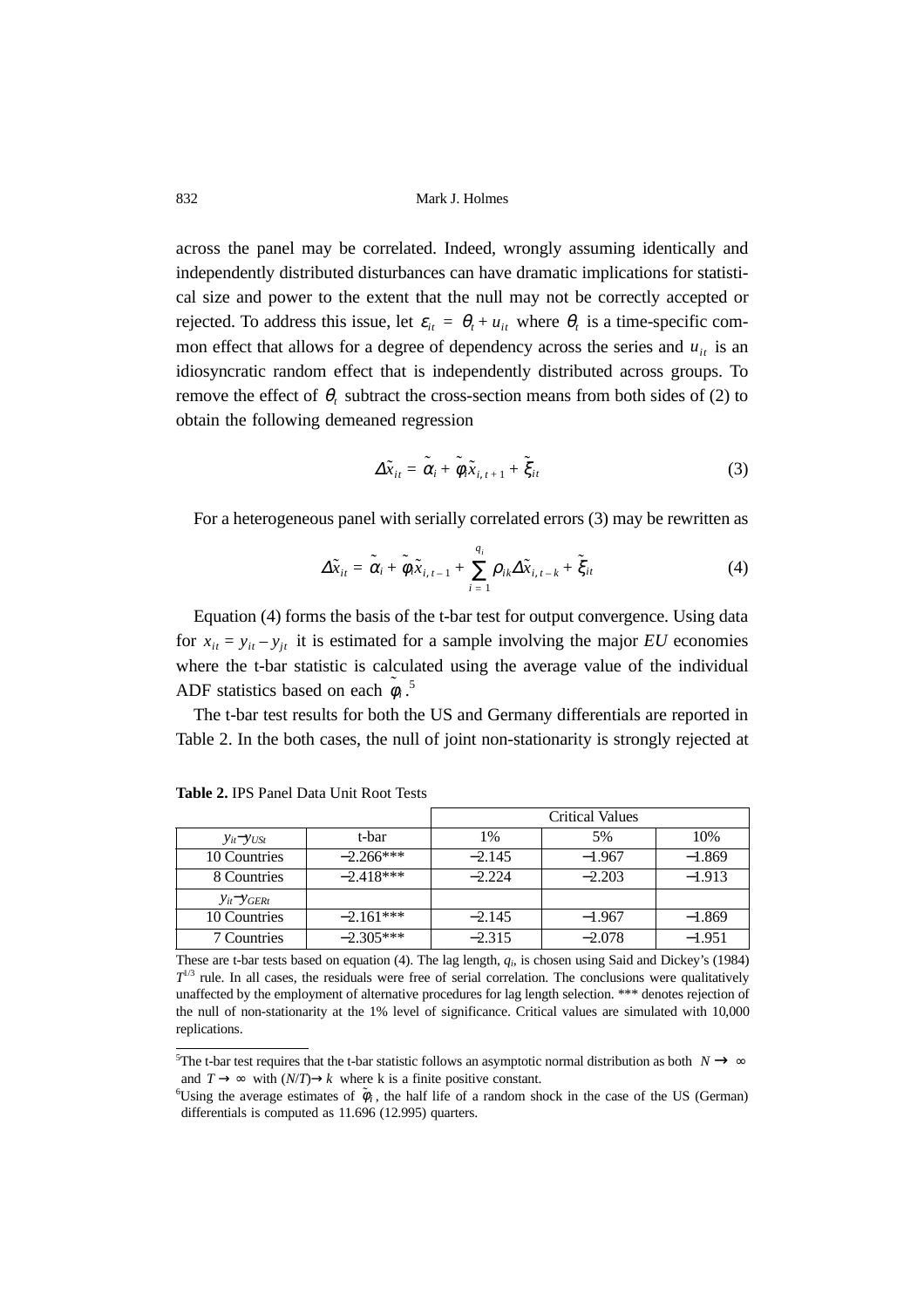across the panel may be correlated. Indeed, wrongly assuming identically and independently distributed disturbances can have dramatic implications for statistical size and power to the extent that the null may not be correctly accepted or rejected. To address this issue, let  $\varepsilon_{it} = \theta_t + u_{it}$  where  $\theta_t$  is a time-specific common effect that allows for a degree of dependency across the series and  $u_{it}$  is an idiosyncratic random effect that is independently distributed across groups. To remove the effect of  $\theta_t$  subtract the cross-section means from both sides of (2) to obtain the following demeaned regression

$$
\Delta \tilde{x}_{it} = \tilde{\alpha}_i + \tilde{\phi}_i \tilde{x}_{i, t+1} + \tilde{\xi}_{it}
$$
 (3)

For a heterogeneous panel with serially correlated errors (3) may be rewritten as

$$
\Delta \tilde{x}_{it} = \tilde{\alpha}_i + \tilde{\phi}_i \tilde{x}_{i, t-1} + \sum_{i=1}^{q_i} \rho_{ik} \Delta \tilde{x}_{i, t-k} + \tilde{\xi}_{it}
$$
(4)

Equation (4) forms the basis of the t-bar test for output convergence. Using data for  $x_{it} = y_{it} - y_{jt}$  it is estimated for a sample involving the major *EU* economies where the t-bar statistic is calculated using the average value of the individual ADF statistics based on each  $\tilde{\phi}_i$ .<sup>5</sup>

The t-bar test results for both the US and Germany differentials are reported in Table 2. In the both cases, the null of joint non-stationarity is strongly rejected at

|                       |             | <b>Critical Values</b> |          |          |
|-----------------------|-------------|------------------------|----------|----------|
| $y_{it} - y_{USt}$    | t-bar       | 1%                     | 5%       | 10%      |
| 10 Countries          | $-2.266***$ | $-2.145$               | $-1.967$ | $-1.869$ |
| 8 Countries           | $-2.418***$ | $-2.224$               | $-2.203$ | $-1.913$ |
| $y_{it}$ - $y_{GERt}$ |             |                        |          |          |
| 10 Countries          | $-2.161***$ | $-2.145$               | $-1.967$ | $-1.869$ |
| 7 Countries           | $-2.305***$ | $-2.315$               | $-2.078$ | $-1.951$ |

**Table 2.** IPS Panel Data Unit Root Tests

These are t-bar tests based on equation (4). The lag length, *qi*, is chosen using Said and Dickey's (1984)  $T^{1/3}$  rule. In all cases, the residuals were free of serial correlation. The conclusions were qualitatively unaffected by the employment of alternative procedures for lag length selection. \*\*\* denotes rejection of the null of non-stationarity at the 1% level of significance. Critical values are simulated with 10,000 replications.

<sup>&</sup>lt;sup>5</sup>The t-bar test requires that the t-bar statistic follows an asymptotic normal distribution as both  $N \rightarrow \infty$ and  $T \to \infty$  with  $(N/T) \to k$  where k is a finite positive constant.

Using the average estimates of  $\tilde{\phi}_i$ , the half life of a random shock in the case of the US (German) differentials is computed as 11.696 (12.995) quarters.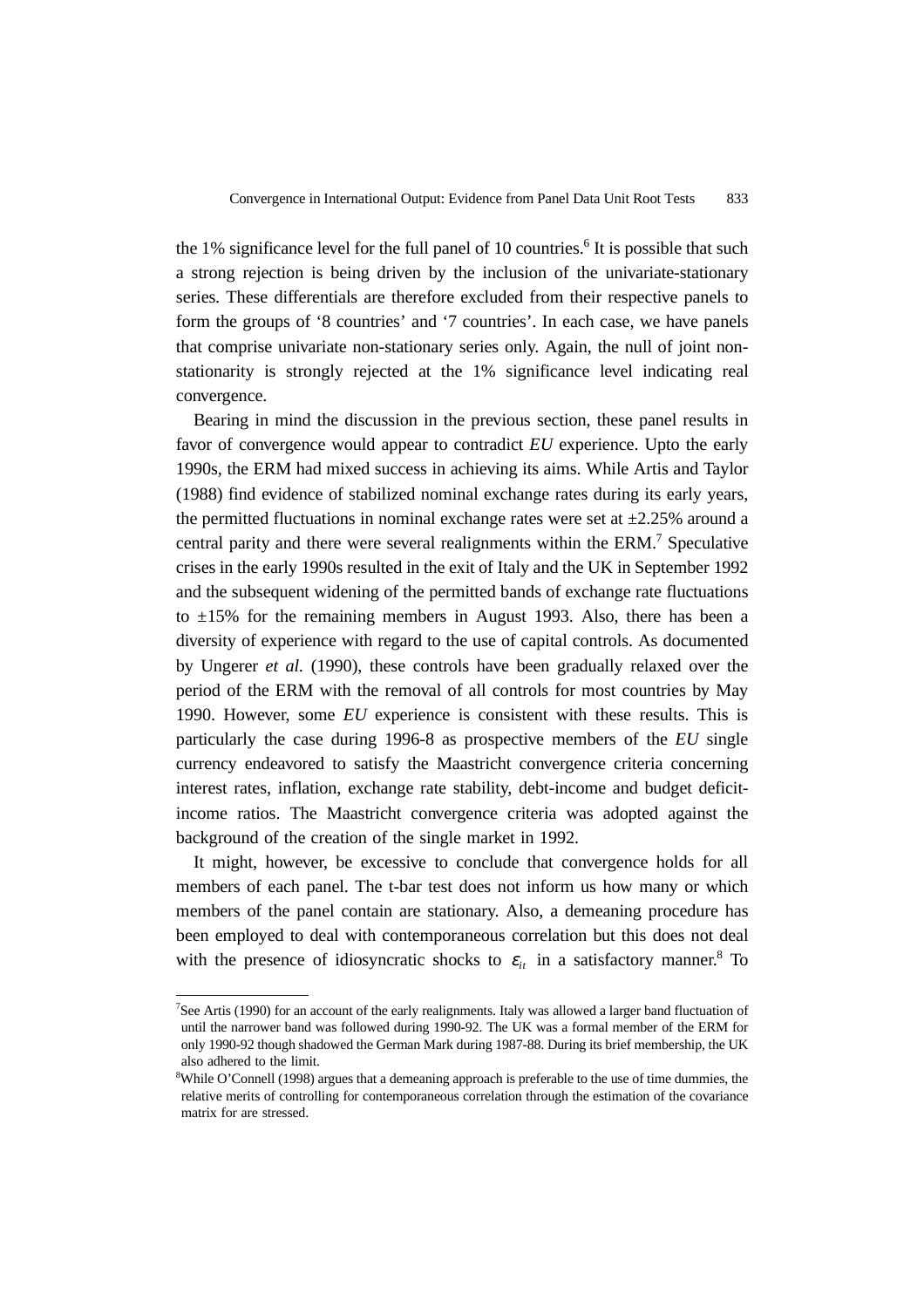the 1% significance level for the full panel of 10 countries.<sup>6</sup> It is possible that such a strong rejection is being driven by the inclusion of the univariate-stationary series. These differentials are therefore excluded from their respective panels to form the groups of '8 countries' and '7 countries'. In each case, we have panels that comprise univariate non-stationary series only. Again, the null of joint nonstationarity is strongly rejected at the 1% significance level indicating real convergence.

Bearing in mind the discussion in the previous section, these panel results in favor of convergence would appear to contradict *EU* experience. Upto the early 1990s, the ERM had mixed success in achieving its aims. While Artis and Taylor (1988) find evidence of stabilized nominal exchange rates during its early years, the permitted fluctuations in nominal exchange rates were set at  $\pm 2.25\%$  around a central parity and there were several realignments within the ERM.<sup>7</sup> Speculative crises in the early 1990s resulted in the exit of Italy and the UK in September 1992 and the subsequent widening of the permitted bands of exchange rate fluctuations to  $\pm 15\%$  for the remaining members in August 1993. Also, there has been a diversity of experience with regard to the use of capital controls. As documented by Ungerer *et al.* (1990), these controls have been gradually relaxed over the period of the ERM with the removal of all controls for most countries by May 1990. However, some *EU* experience is consistent with these results. This is particularly the case during 1996-8 as prospective members of the *EU* single currency endeavored to satisfy the Maastricht convergence criteria concerning interest rates, inflation, exchange rate stability, debt-income and budget deficitincome ratios. The Maastricht convergence criteria was adopted against the background of the creation of the single market in 1992.

It might, however, be excessive to conclude that convergence holds for all members of each panel. The t-bar test does not inform us how many or which members of the panel contain are stationary. Also, a demeaning procedure has been employed to deal with contemporaneous correlation but this does not deal with the presence of idiosyncratic shocks to  $\varepsilon_i$  in a satisfactory manner.<sup>8</sup> To

<sup>&</sup>lt;sup>7</sup>See Artis (1990) for an account of the early realignments. Italy was allowed a larger band fluctuation of until the narrower band was followed during 1990-92. The UK was a formal member of the ERM for only 1990-92 though shadowed the German Mark during 1987-88. During its brief membership, the UK also adhered to the limit.

<sup>&</sup>lt;sup>8</sup>While O'Connell (1998) argues that a demeaning approach is preferable to the use of time dummies, the relative merits of controlling for contemporaneous correlation through the estimation of the covariance matrix for are stressed.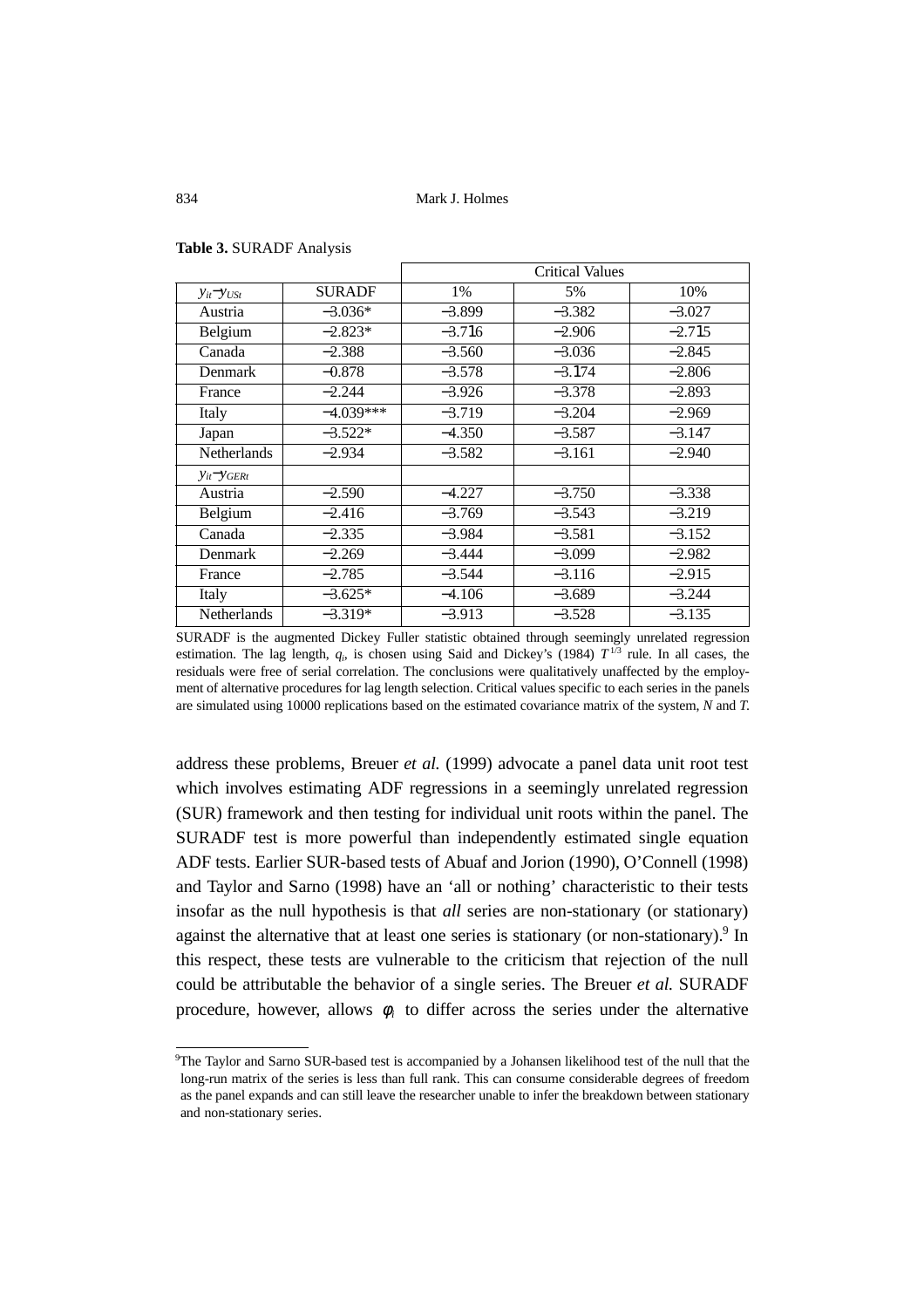|                       |               | <b>Critical Values</b> |          |          |
|-----------------------|---------------|------------------------|----------|----------|
| $y_{it} - y_{USt}$    | <b>SURADE</b> | $1\%$                  | 5%       | 10%      |
| Austria               | $-3.036*$     | $-3.899$               | $-3.382$ | $-3.027$ |
| Belgium               | $-2.823*$     | $-3.716$               | $-2.906$ | $-2.715$ |
| Canada                | $-2.388$      | $-3.560$               | $-3.036$ | $-2.845$ |
| Denmark               | $-0.878$      | $-3.578$               | $-3.174$ | $-2.806$ |
| France                | $-2.244$      | $-3.926$               | $-3.378$ | $-2.893$ |
| Italy                 | $-4.039***$   | $-3.719$               | $-3.204$ | $-2.969$ |
| Japan                 | $-3.522*$     | $-4.350$               | $-3.587$ | $-3.147$ |
| <b>Netherlands</b>    | $-2.934$      | $-3.582$               | $-3.161$ | $-2.940$ |
| $y_{it}$ - $y_{GERt}$ |               |                        |          |          |
| Austria               | $-2.590$      | $-4.227$               | $-3.750$ | $-3.338$ |
| Belgium               | $-2.416$      | $-3.769$               | $-3.543$ | $-3.219$ |
| Canada                | $-2.335$      | $-3.984$               | $-3.581$ | $-3.152$ |
| <b>Denmark</b>        | $-2.269$      | $-3.444$               | $-3.099$ | $-2.982$ |
| France                | $-2.785$      | $-3.544$               | $-3.116$ | $-2.915$ |
| Italy                 | $-3.625*$     | $-4.106$               | $-3.689$ | $-3.244$ |
| <b>Netherlands</b>    | $-3.319*$     | $-3.913$               | $-3.528$ | $-3.135$ |

**Table 3.** SURADF Analysis

SURADF is the augmented Dickey Fuller statistic obtained through seemingly unrelated regression estimation. The lag length,  $q_i$ , is chosen using Said and Dickey's (1984)  $T^{1/3}$  rule. In all cases, the residuals were free of serial correlation. The conclusions were qualitatively unaffected by the employment of alternative procedures for lag length selection. Critical values specific to each series in the panels are simulated using 10000 replications based on the estimated covariance matrix of the system, *N* and *T*.

address these problems, Breuer *et al.* (1999) advocate a panel data unit root test which involves estimating ADF regressions in a seemingly unrelated regression (SUR) framework and then testing for individual unit roots within the panel. The SURADF test is more powerful than independently estimated single equation ADF tests. Earlier SUR-based tests of Abuaf and Jorion (1990), O'Connell (1998) and Taylor and Sarno (1998) have an 'all or nothing' characteristic to their tests insofar as the null hypothesis is that *all* series are non-stationary (or stationary) against the alternative that at least one series is stationary (or non-stationary).<sup>9</sup> In this respect, these tests are vulnerable to the criticism that rejection of the null could be attributable the behavior of a single series. The Breuer *et al.* SURADF procedure, however, allows  $\phi_i$  to differ across the series under the alternative

<sup>9</sup> The Taylor and Sarno SUR-based test is accompanied by a Johansen likelihood test of the null that the long-run matrix of the series is less than full rank. This can consume considerable degrees of freedom as the panel expands and can still leave the researcher unable to infer the breakdown between stationary and non-stationary series.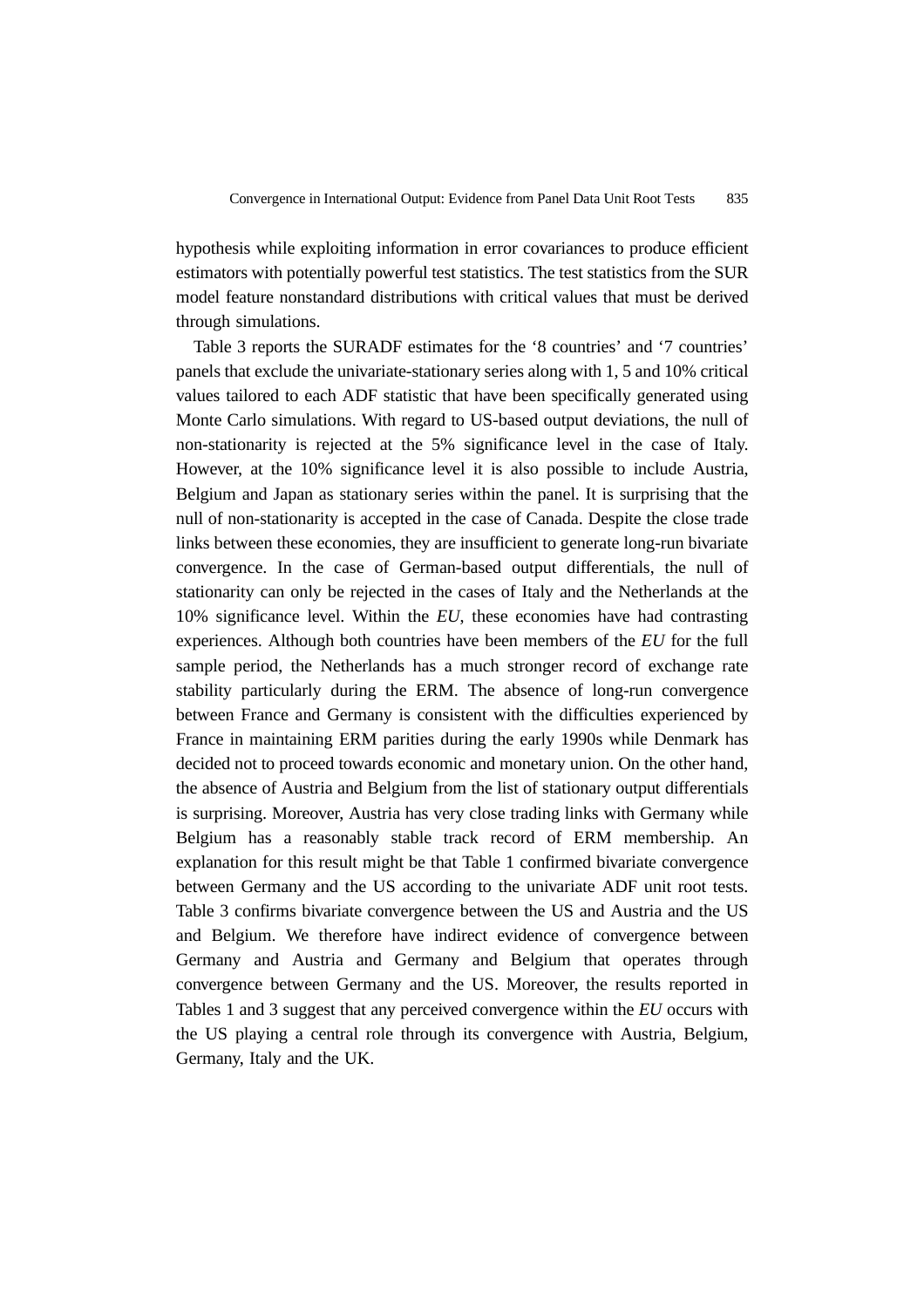hypothesis while exploiting information in error covariances to produce efficient estimators with potentially powerful test statistics. The test statistics from the SUR model feature nonstandard distributions with critical values that must be derived through simulations.

Table 3 reports the SURADF estimates for the '8 countries' and '7 countries' panels that exclude the univariate-stationary series along with 1, 5 and 10% critical values tailored to each ADF statistic that have been specifically generated using Monte Carlo simulations. With regard to US-based output deviations, the null of non-stationarity is rejected at the 5% significance level in the case of Italy. However, at the 10% significance level it is also possible to include Austria, Belgium and Japan as stationary series within the panel. It is surprising that the null of non-stationarity is accepted in the case of Canada. Despite the close trade links between these economies, they are insufficient to generate long-run bivariate convergence. In the case of German-based output differentials, the null of stationarity can only be rejected in the cases of Italy and the Netherlands at the 10% significance level. Within the *EU*, these economies have had contrasting experiences. Although both countries have been members of the *EU* for the full sample period, the Netherlands has a much stronger record of exchange rate stability particularly during the ERM. The absence of long-run convergence between France and Germany is consistent with the difficulties experienced by France in maintaining ERM parities during the early 1990s while Denmark has decided not to proceed towards economic and monetary union. On the other hand, the absence of Austria and Belgium from the list of stationary output differentials is surprising. Moreover, Austria has very close trading links with Germany while Belgium has a reasonably stable track record of ERM membership. An explanation for this result might be that Table 1 confirmed bivariate convergence between Germany and the US according to the univariate ADF unit root tests. Table 3 confirms bivariate convergence between the US and Austria and the US and Belgium. We therefore have indirect evidence of convergence between Germany and Austria and Germany and Belgium that operates through convergence between Germany and the US. Moreover, the results reported in Tables 1 and 3 suggest that any perceived convergence within the *EU* occurs with the US playing a central role through its convergence with Austria, Belgium, Germany, Italy and the UK.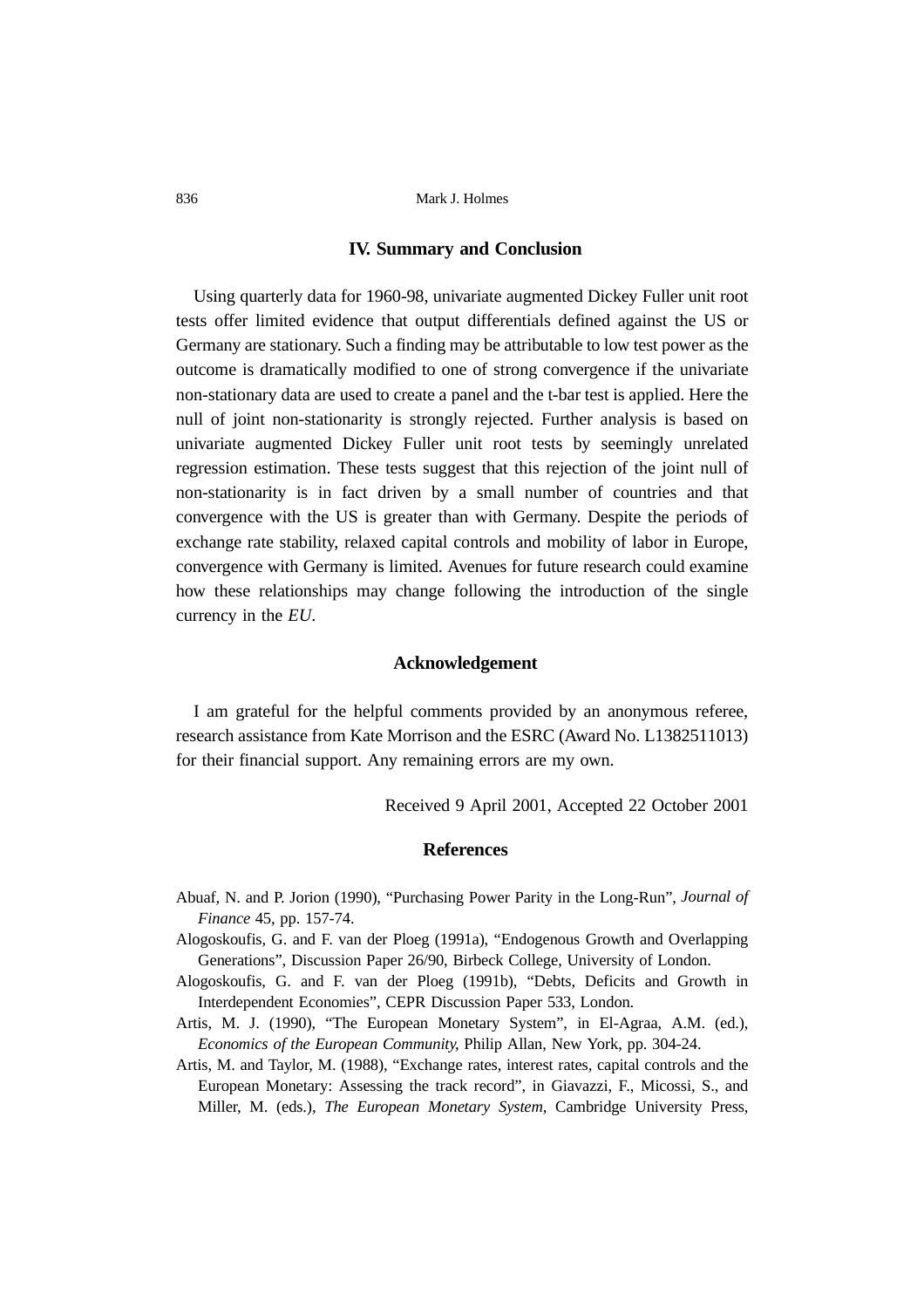# **IV. Summary and Conclusion**

Using quarterly data for 1960-98, univariate augmented Dickey Fuller unit root tests offer limited evidence that output differentials defined against the US or Germany are stationary. Such a finding may be attributable to low test power as the outcome is dramatically modified to one of strong convergence if the univariate non-stationary data are used to create a panel and the t-bar test is applied. Here the null of joint non-stationarity is strongly rejected. Further analysis is based on univariate augmented Dickey Fuller unit root tests by seemingly unrelated regression estimation. These tests suggest that this rejection of the joint null of non-stationarity is in fact driven by a small number of countries and that convergence with the US is greater than with Germany. Despite the periods of exchange rate stability, relaxed capital controls and mobility of labor in Europe, convergence with Germany is limited. Avenues for future research could examine how these relationships may change following the introduction of the single currency in the *EU*.

# **Acknowledgement**

I am grateful for the helpful comments provided by an anonymous referee, research assistance from Kate Morrison and the ESRC (Award No. L1382511013) for their financial support. Any remaining errors are my own.

Received 9 April 2001, Accepted 22 October 2001

#### **References**

- Abuaf, N. and P. Jorion (1990), "Purchasing Power Parity in the Long-Run", *Journal of Finance* 45, pp. 157-74.
- Alogoskoufis, G. and F. van der Ploeg (1991a), "Endogenous Growth and Overlapping Generations", Discussion Paper 26/90, Birbeck College, University of London.
- Alogoskoufis, G. and F. van der Ploeg (1991b), "Debts, Deficits and Growth in Interdependent Economies", CEPR Discussion Paper 533, London.
- Artis, M. J. (1990), "The European Monetary System", in El-Agraa, A.M. (ed.), *Economics of the European Community*, Philip Allan, New York, pp. 304-24.
- Artis, M. and Taylor, M. (1988), "Exchange rates, interest rates, capital controls and the European Monetary: Assessing the track record", in Giavazzi, F., Micossi, S., and Miller, M. (eds.), *The European Monetary System*, Cambridge University Press,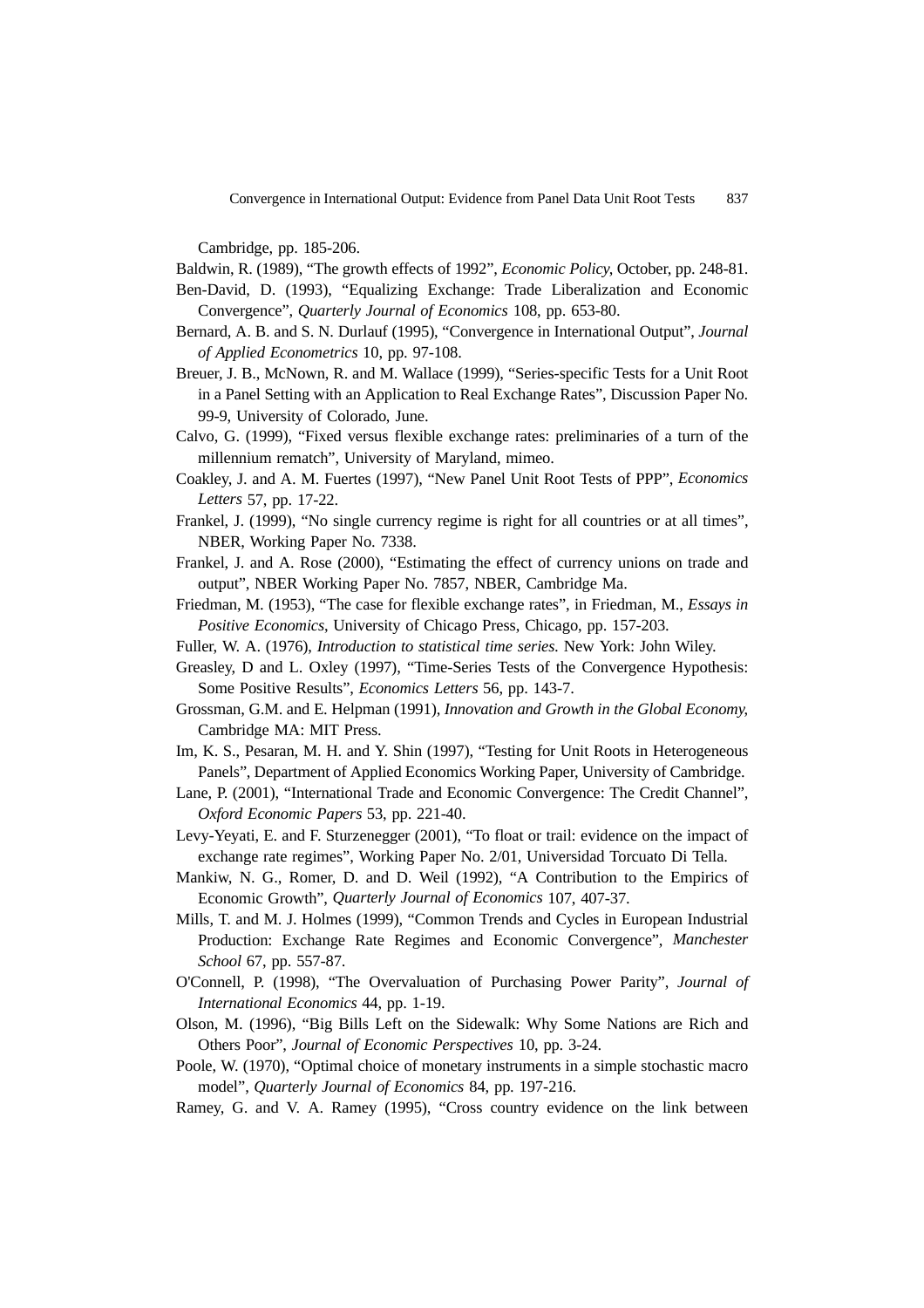Cambridge, pp. 185-206.

Baldwin, R. (1989), "The growth effects of 1992", *Economic Policy*, October, pp. 248-81.

- Ben-David, D. (1993), "Equalizing Exchange: Trade Liberalization and Economic Convergence", *Quarterly Journal of Economics* 108, pp. 653-80.
- Bernard, A. B. and S. N. Durlauf (1995), "Convergence in International Output", *Journal of Applied Econometrics* 10, pp. 97-108.
- Breuer, J. B., McNown, R. and M. Wallace (1999), "Series-specific Tests for a Unit Root in a Panel Setting with an Application to Real Exchange Rates", Discussion Paper No. 99-9, University of Colorado, June.
- Calvo, G. (1999), "Fixed versus flexible exchange rates: preliminaries of a turn of the millennium rematch", University of Maryland, mimeo.
- Coakley, J. and A. M. Fuertes (1997), "New Panel Unit Root Tests of PPP", *Economics Letters* 57, pp. 17-22.
- Frankel, J. (1999), "No single currency regime is right for all countries or at all times", NBER, Working Paper No. 7338.
- Frankel, J. and A. Rose (2000), "Estimating the effect of currency unions on trade and output", NBER Working Paper No. 7857, NBER, Cambridge Ma.
- Friedman, M. (1953), "The case for flexible exchange rates", in Friedman, M., *Essays in Positive Economics*, University of Chicago Press, Chicago, pp. 157-203.
- Fuller, W. A. (1976), *Introduction to statistical time series.* New York: John Wiley.
- Greasley, D and L. Oxley (1997), "Time-Series Tests of the Convergence Hypothesis: Some Positive Results", *Economics Letters* 56, pp. 143-7.
- Grossman, G.M. and E. Helpman (1991), *Innovation and Growth in the Global Economy*, Cambridge MA: MIT Press.
- Im, K. S., Pesaran, M. H. and Y. Shin (1997), "Testing for Unit Roots in Heterogeneous Panels", Department of Applied Economics Working Paper, University of Cambridge.
- Lane, P. (2001), "International Trade and Economic Convergence: The Credit Channel", *Oxford Economic Papers* 53, pp. 221-40.
- Levy-Yeyati, E. and F. Sturzenegger (2001), "To float or trail: evidence on the impact of exchange rate regimes", Working Paper No. 2/01, Universidad Torcuato Di Tella.
- Mankiw, N. G., Romer, D. and D. Weil (1992), "A Contribution to the Empirics of Economic Growth", *Quarterly Journal of Economics* 107, 407-37.
- Mills, T. and M. J. Holmes (1999), "Common Trends and Cycles in European Industrial Production: Exchange Rate Regimes and Economic Convergence", *Manchester School* 67, pp. 557-87.
- O'Connell, P. (1998), "The Overvaluation of Purchasing Power Parity", *Journal of International Economics* 44, pp. 1-19.
- Olson, M. (1996), "Big Bills Left on the Sidewalk: Why Some Nations are Rich and Others Poor", *Journal of Economic Perspectives* 10, pp. 3-24.
- Poole, W. (1970), "Optimal choice of monetary instruments in a simple stochastic macro model", *Quarterly Journal of Economics* 84, pp. 197-216.
- Ramey, G. and V. A. Ramey (1995), "Cross country evidence on the link between